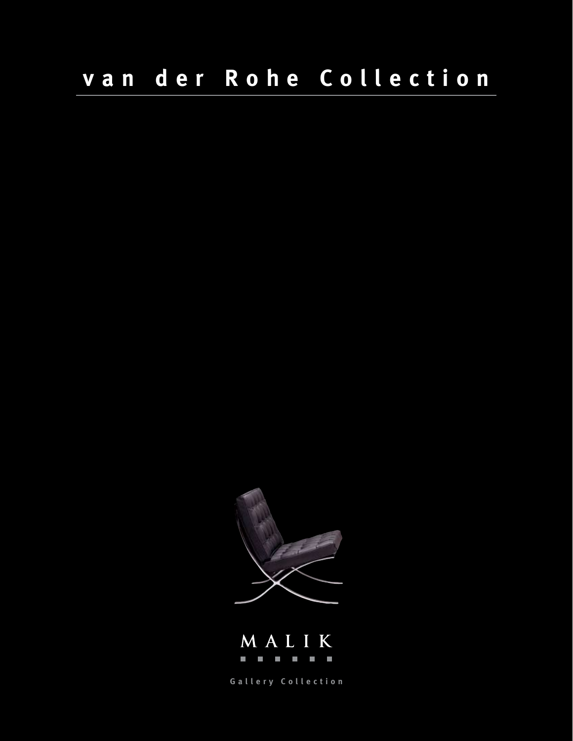



**Gallery Collection**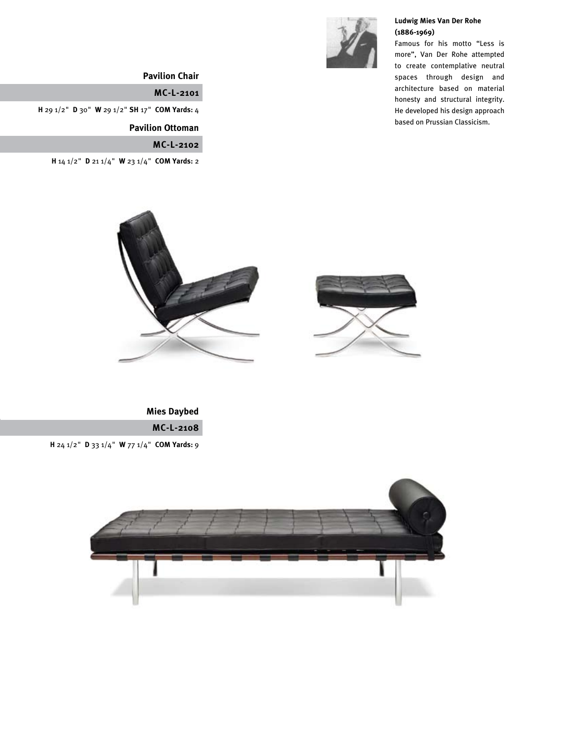

### **Ludwig Mies Van Der Rohe (1886-1969)**

Famous for his motto "Less is more", Van Der Rohe attempted to create contemplative neutral spaces through design and architecture based on material honesty and structural integrity. He developed his design approach based on Prussian Classicism.

# **Pavilion Chair**

**MC-L-2101**

**H** 29 1/2" **D** 30" **W** 29 1/2" **SH** 17" **COM Yards:** 4

 **Pavilion Ottoman**

**MC-L-2102**

**H** 14 1/2" **D** 21 1/4" **W** 23 1/4" **COM Yards:** 2



**MC-L-2108 Mies Daybed**

**H** 24 1/2" **D** 33 1/4" **W** 77 1/4" **COM Yards:** 9

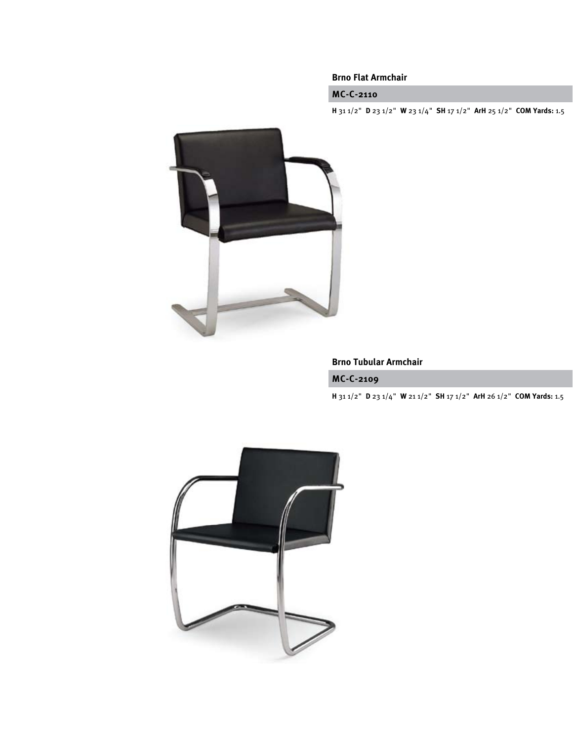## **Brno Flat Armchair**

# **MC-C-2110**

**H** 31 1/2" **D** 23 1/2" **W** 23 1/4" **SH** 17 1/2" **ArH** 25 1/2" **COM Yards:** 1.5



## **Brno Tubular Armchair**

### **MC-C-2109**

**H** 31 1/2" **D** 23 1/4" **W** 21 1/2" **SH** 17 1/2" **ArH** 26 1/2" **COM Yards:** 1.5

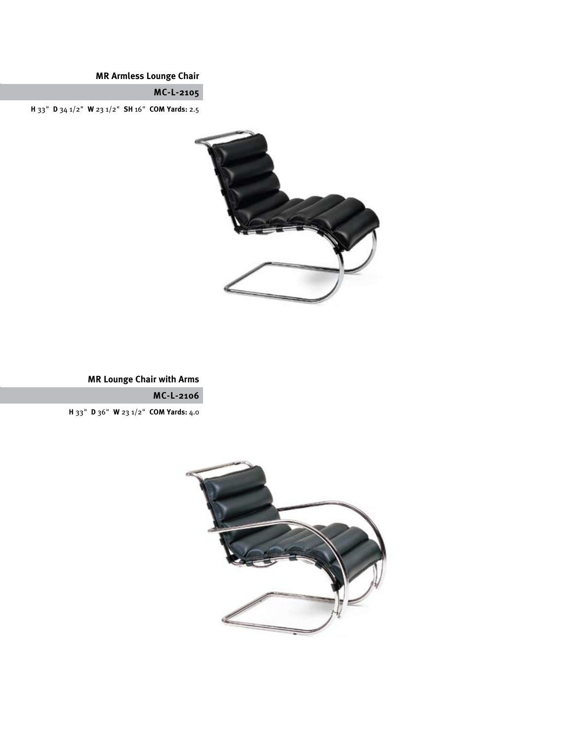**MR Armless Lounge Chair**

**MC-L-2105**

**H** 33" **D** 34 1/2" **W** 23 1/2" **SH** 16" **COM Yards:** 2.5



**MR Lounge Chair with Arms**

**MC-L-2106**

**H** 33" **D** 36" **W** 23 1/2" **COM Yards:** 4.0

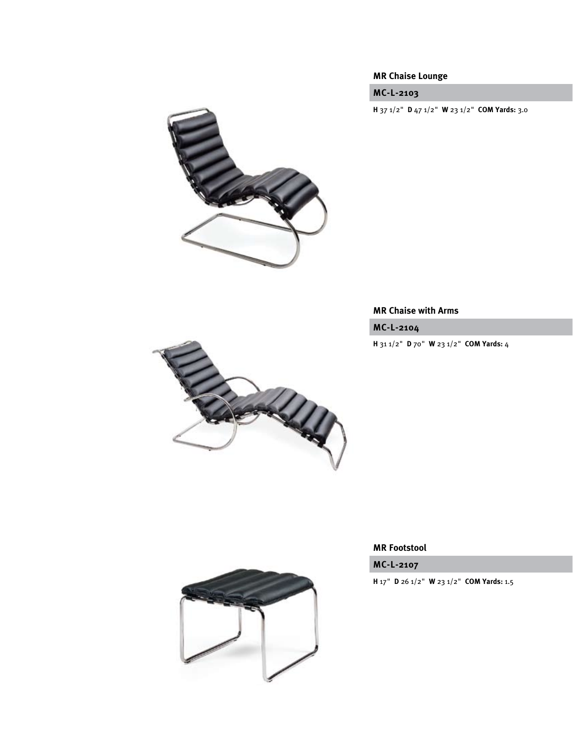# **MR Chaise Lounge**

**MC-L-2103**

**H** 37 1/2" **D** 47 1/2" **W** 23 1/2" **COM Yards:** 3.0

![](_page_4_Picture_3.jpeg)

# **MR Chaise with Arms**

**MC-L-2104**

**H** 31 1/2" **D** 70" **W** 23 1/2" **COM Yards:** 4

![](_page_4_Picture_7.jpeg)

![](_page_4_Picture_8.jpeg)

**MC-L-2107**

**H** 17" **D** 26 1/2" **W** 23 1/2" **COM Yards:** 1.5

![](_page_4_Picture_11.jpeg)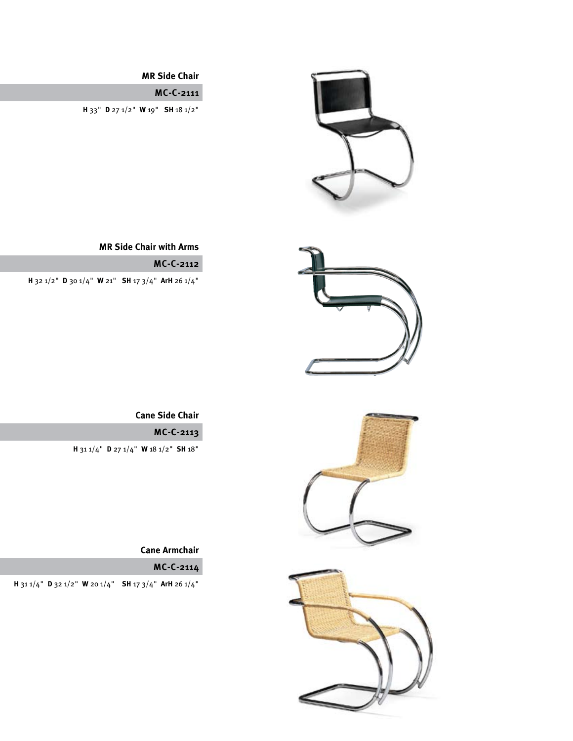![](_page_5_Picture_0.jpeg)

![](_page_5_Picture_2.jpeg)

![](_page_5_Picture_3.jpeg)

**MR Side Chair**

**MC-C-2111**

**H** 33" **D** 27 1/2" **W** 19" **SH** 18 1/2"

# **MR Side Chair with Arms**

# **MC-C-2112**

**H** 32 1/2" **D** 30 1/4" **W** 21" **SH** 17 3/4" **ArH** 26 1/4"

 **Cane Side Chair**

**MC-C-2113**

**H** 31 1/4" **D** 27 1/4" **W** 18 1/2" **SH** 18"

**Cane Armchair**

**MC-C-2114**

**H** 31 1/4" **D** 32 1/2" **W** 20 1/4" **SH** 17 3/4" **ArH** 26 1/4"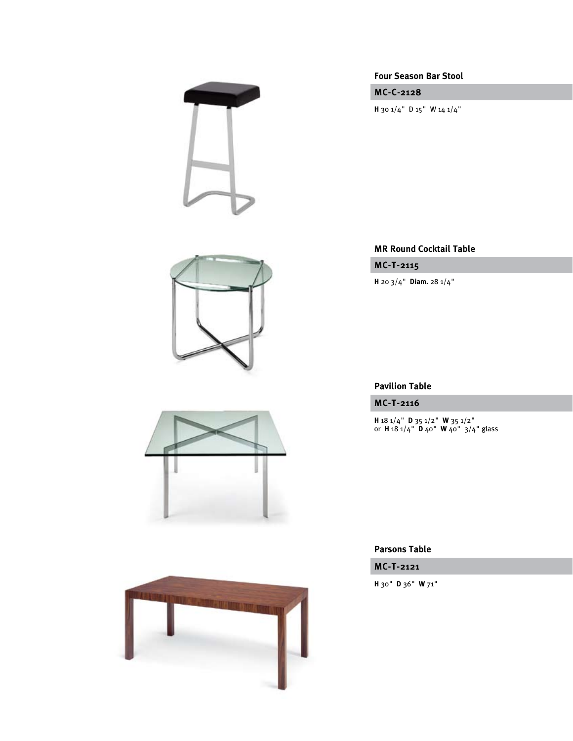![](_page_6_Picture_0.jpeg)

![](_page_6_Picture_1.jpeg)

![](_page_6_Picture_2.jpeg)

![](_page_6_Picture_3.jpeg)

**Four Season Bar Stool**

**MC-C-2128**

**H** 30 1/4" D 15" W 14 1/4"

### **MR Round Cocktail Table**

**MC-T-2115**

**H** 20 3/4" **Diam.** 28 1/4"

# **Pavilion Table**

**MC-T-2116**

**H** 18 1/4" **D** 35 1/2" **W** 35 1/2" or **H** 18 1/4" **D** 40" **W** 40" 3/4" glass

### **Parsons Table**

**MC-T-2121**

**H** 30" **D** 36" **W** 71"